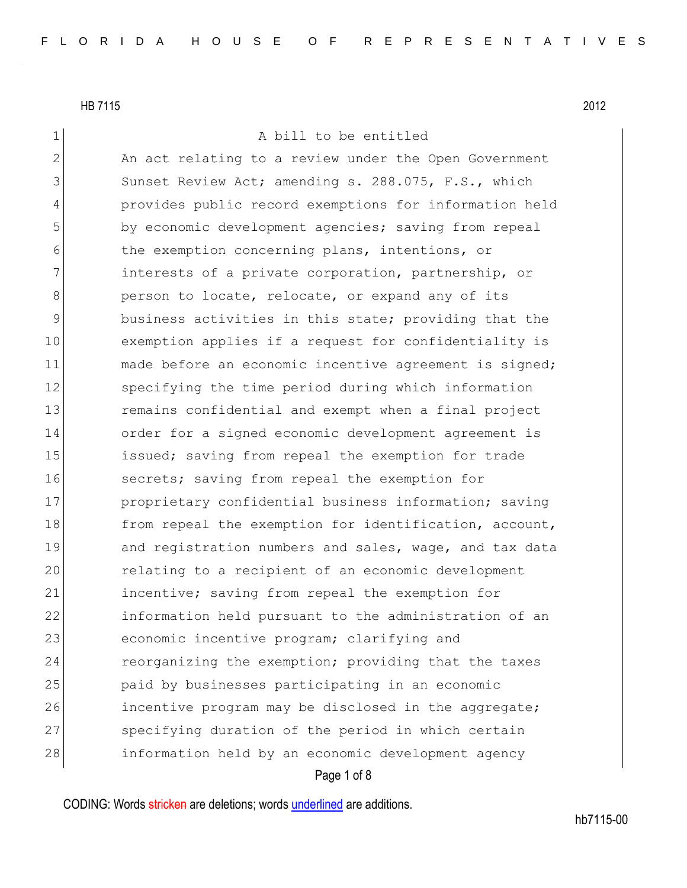1 A bill to be entitled

2 An act relating to a review under the Open Government 3 Sunset Review Act; amending s. 288.075, F.S., which 4 provides public record exemptions for information held 5 by economic development agencies; saving from repeal 6 the exemption concerning plans, intentions, or 7 1132 interests of a private corporation, partnership, or 8 **person to locate, relocate, or expand any of its** 9 business activities in this state; providing that the 10 exemption applies if a request for confidentiality is 11 made before an economic incentive agreement is signed; 12 specifying the time period during which information 13 13 remains confidential and exempt when a final project 14 order for a signed economic development agreement is 15 issued; saving from repeal the exemption for trade 16 secrets; saving from repeal the exemption for 17 proprietary confidential business information; saving 18 from repeal the exemption for identification, account, 19 and registration numbers and sales, wage, and tax data 20 relating to a recipient of an economic development 21 incentive; saving from repeal the exemption for 22 information held pursuant to the administration of an 23 economic incentive program; clarifying and 24 reorganizing the exemption; providing that the taxes 25 paid by businesses participating in an economic 26 incentive program may be disclosed in the aggregate; 27 specifying duration of the period in which certain 28 information held by an economic development agency

# Page 1 of 8

CODING: Words stricken are deletions; words underlined are additions.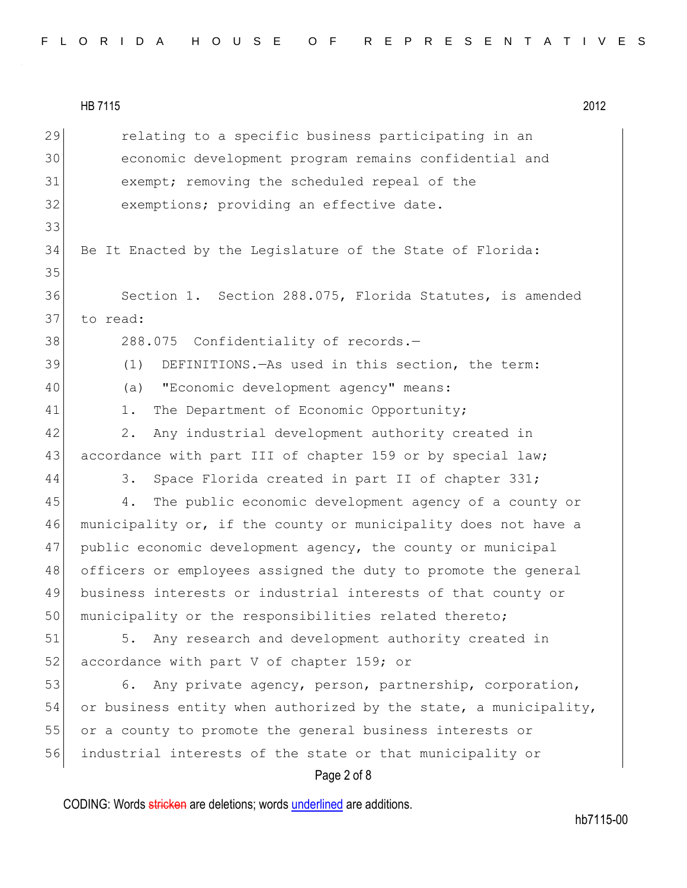| 29 | relating to a specific business participating in an              |
|----|------------------------------------------------------------------|
| 30 | economic development program remains confidential and            |
| 31 | exempt; removing the scheduled repeal of the                     |
| 32 | exemptions; providing an effective date.                         |
| 33 |                                                                  |
| 34 | Be It Enacted by the Legislature of the State of Florida:        |
| 35 |                                                                  |
| 36 | Section 1. Section 288.075, Florida Statutes, is amended         |
| 37 | to read:                                                         |
| 38 | 288.075 Confidentiality of records.-                             |
| 39 | DEFINITIONS. - As used in this section, the term:<br>(1)         |
| 40 | "Economic development agency" means:<br>(a)                      |
| 41 | The Department of Economic Opportunity;<br>1.                    |
| 42 | Any industrial development authority created in<br>2.            |
| 43 | accordance with part III of chapter 159 or by special law;       |
| 44 | Space Florida created in part II of chapter 331;<br>3.           |
| 45 | The public economic development agency of a county or<br>4.      |
| 46 | municipality or, if the county or municipality does not have a   |
| 47 | public economic development agency, the county or municipal      |
| 48 | officers or employees assigned the duty to promote the general   |
| 49 | business interests or industrial interests of that county or     |
| 50 | municipality or the responsibilities related thereto;            |
| 51 | Any research and development authority created in<br>5.          |
| 52 | accordance with part V of chapter 159; or                        |
| 53 | Any private agency, person, partnership, corporation,<br>6.      |
| 54 | or business entity when authorized by the state, a municipality, |
| 55 | or a county to promote the general business interests or         |
| 56 | industrial interests of the state or that municipality or        |
|    | Page 2 of 8                                                      |

CODING: Words stricken are deletions; words underlined are additions.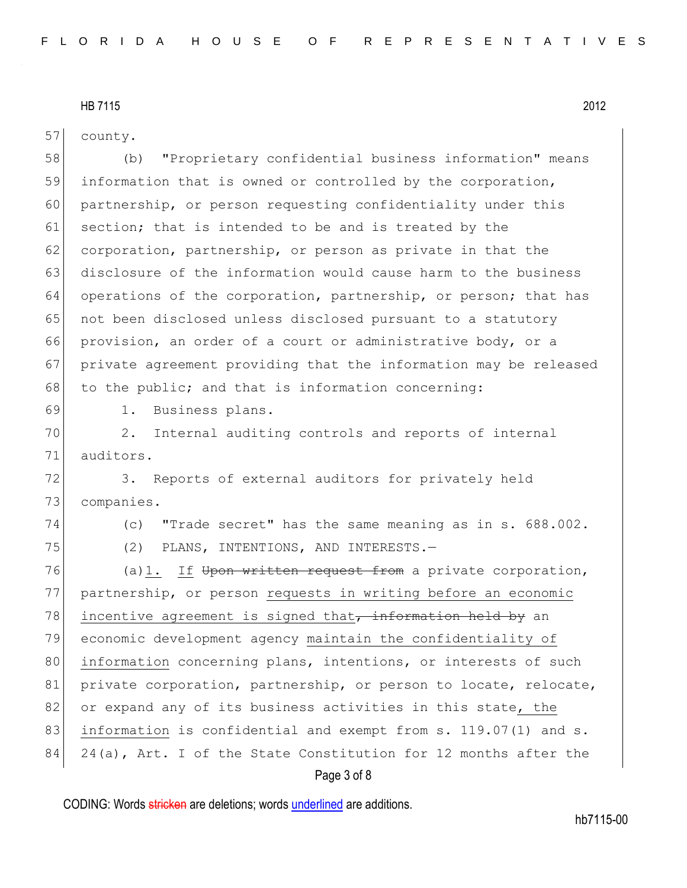57 county.

58 (b) "Proprietary confidential business information" means 59 information that is owned or controlled by the corporation, 60 partnership, or person requesting confidentiality under this 61 section; that is intended to be and is treated by the 62 corporation, partnership, or person as private in that the 63 disclosure of the information would cause harm to the business 64 operations of the corporation, partnership, or person; that has 65 | not been disclosed unless disclosed pursuant to a statutory 66 provision, an order of a court or administrative body, or a 67 private agreement providing that the information may be released 68 to the public; and that is information concerning: 69 1. Business plans.

70 2. Internal auditing controls and reports of internal 71 auditors.

72 3. Reports of external auditors for privately held 73 companies.

74 (c) "Trade secret" has the same meaning as in s. 688.002. 75 (2) PLANS, INTENTIONS, AND INTERESTS.—

76 (a)1. If Upon written request from a private corporation, 77 partnership, or person requests in writing before an economic 78 incentive agreement is signed that, information held by an 79 economic development agency maintain the confidentiality of 80 information concerning plans, intentions, or interests of such 81 private corporation, partnership, or person to locate, relocate, 82 or expand any of its business activities in this state, the 83 information is confidential and exempt from s. 119.07(1) and s. 84 24(a), Art. I of the State Constitution for 12 months after the

# Page 3 of 8

CODING: Words stricken are deletions; words underlined are additions.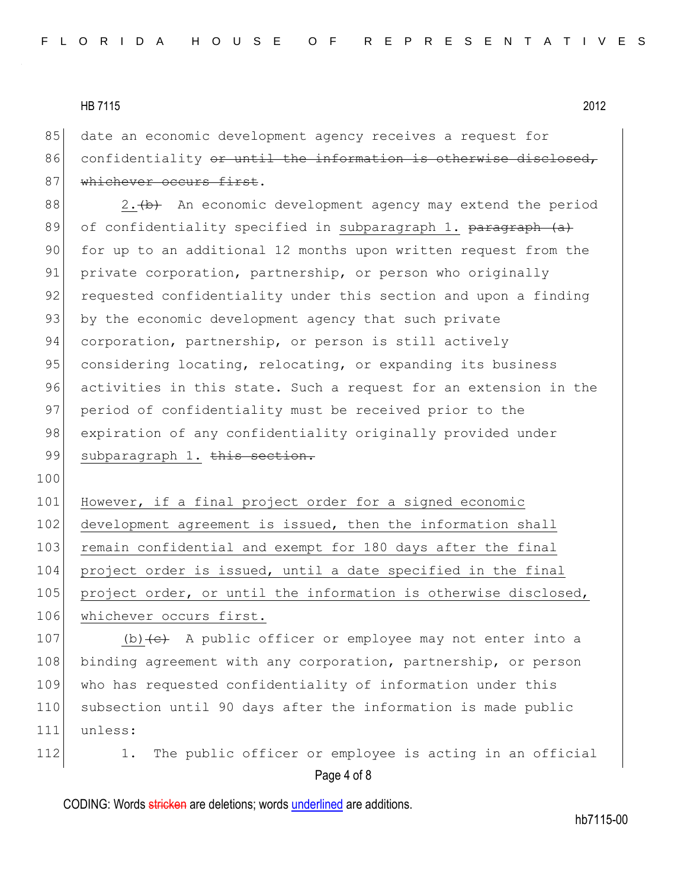85 date an economic development agency receives a request for 86 confidentiality or until the information is otherwise disclosed, 87 whichever occurs first.

88  $\vert$  2.  $\vert$  2. An economic development agency may extend the period 89 of confidentiality specified in subparagraph 1. paragraph (a) 90 for up to an additional 12 months upon written request from the 91 private corporation, partnership, or person who originally 92 requested confidentiality under this section and upon a finding 93 by the economic development agency that such private 94 corporation, partnership, or person is still actively 95 considering locating, relocating, or expanding its business 96 activities in this state. Such a request for an extension in the 97 period of confidentiality must be received prior to the 98 expiration of any confidentiality originally provided under 99 subparagraph 1. this section.

100

101 However, if a final project order for a signed economic 102 development agreement is issued, then the information shall 103 remain confidential and exempt for 180 days after the final 104 project order is issued, until a date specified in the final 105 project order, or until the information is otherwise disclosed, 106 whichever occurs first.

107 (b)  $\left\{e\right\}$  A public officer or employee may not enter into a 108 binding agreement with any corporation, partnership, or person 109 who has requested confidentiality of information under this 110 subsection until 90 days after the information is made public 111 unless:

Page 4 of 8 112 1. The public officer or employee is acting in an official

CODING: Words stricken are deletions; words underlined are additions.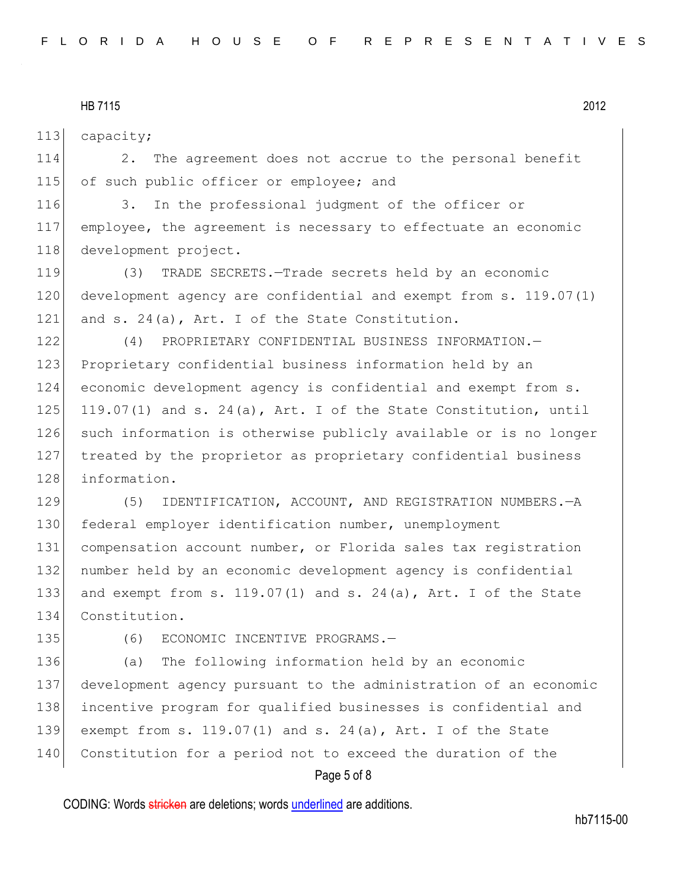113 capacity;

114 2. The agreement does not accrue to the personal benefit 115 of such public officer or employee; and

116 3. In the professional judgment of the officer or 117 employee, the agreement is necessary to effectuate an economic 118 development project.

119 (3) TRADE SECRETS.—Trade secrets held by an economic 120 development agency are confidential and exempt from s. 119.07(1) 121 and s. 24(a), Art. I of the State Constitution.

122 (4) PROPRIETARY CONFIDENTIAL BUSINESS INFORMATION. 123 Proprietary confidential business information held by an 124 economic development agency is confidential and exempt from s. 125 119.07(1) and s. 24(a), Art. I of the State Constitution, until 126 such information is otherwise publicly available or is no longer 127 treated by the proprietor as proprietary confidential business 128 information.

129 (5) IDENTIFICATION, ACCOUNT, AND REGISTRATION NUMBERS. - A federal employer identification number, unemployment compensation account number, or Florida sales tax registration number held by an economic development agency is confidential 133 and exempt from s.  $119.07(1)$  and s.  $24(a)$ , Art. I of the State Constitution.

135 (6) ECONOMIC INCENTIVE PROGRAMS.-

136 (a) The following information held by an economic 137 development agency pursuant to the administration of an economic 138 incentive program for qualified businesses is confidential and 139 exempt from s. 119.07(1) and s. 24(a), Art. I of the State 140 Constitution for a period not to exceed the duration of the

# Page 5 of 8

CODING: Words stricken are deletions; words underlined are additions.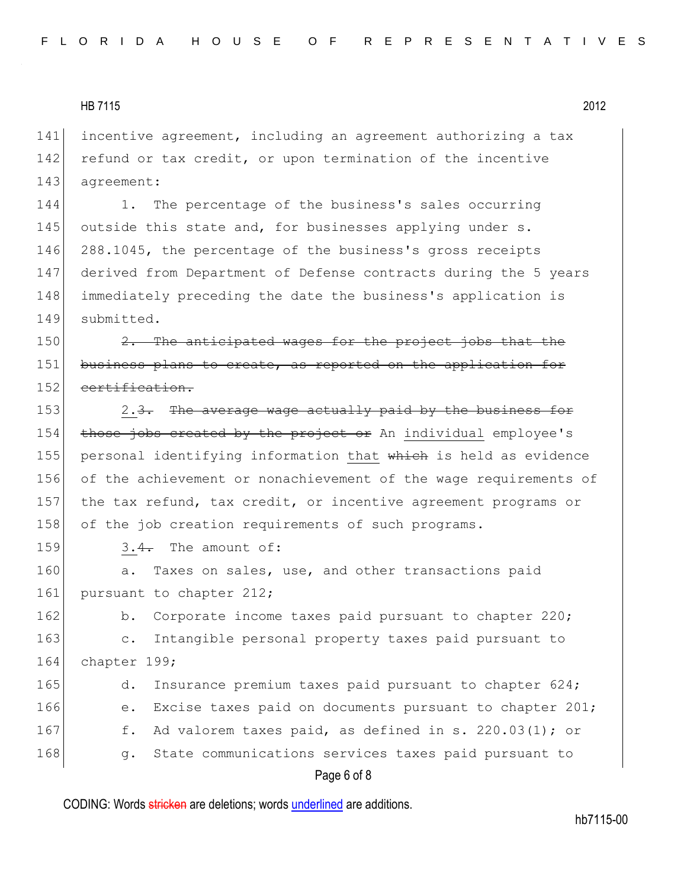141 incentive agreement, including an agreement authorizing a tax 142 refund or tax credit, or upon termination of the incentive 143 agreement:

144 1. The percentage of the business's sales occurring 145 outside this state and, for businesses applying under s. 288.1045, the percentage of the business's gross receipts derived from Department of Defense contracts during the 5 years immediately preceding the date the business's application is submitted.

150  $\vert$  2. The anticipated wages for the project jobs that the 151 business plans to create, as reported on the application for 152 certification.

153 2.3. The average wage actually paid by the business for 154 those jobs created by the project or An individual employee's 155 personal identifying information that which is held as evidence 156 of the achievement or nonachievement of the wage requirements of 157 the tax refund, tax credit, or incentive agreement programs or 158 of the job creation requirements of such programs.

159  $3.4$ . The amount of:

160 a. Taxes on sales, use, and other transactions paid 161 pursuant to chapter 212;

162 b. Corporate income taxes paid pursuant to chapter 220; 163 c. Intangible personal property taxes paid pursuant to 164 chapter 199;

165 d. Insurance premium taxes paid pursuant to chapter 624; 166 e. Excise taxes paid on documents pursuant to chapter 201; 167 f. Ad valorem taxes paid, as defined in s. 220.03(1); or 168 g. State communications services taxes paid pursuant to

# Page 6 of 8

CODING: Words stricken are deletions; words underlined are additions.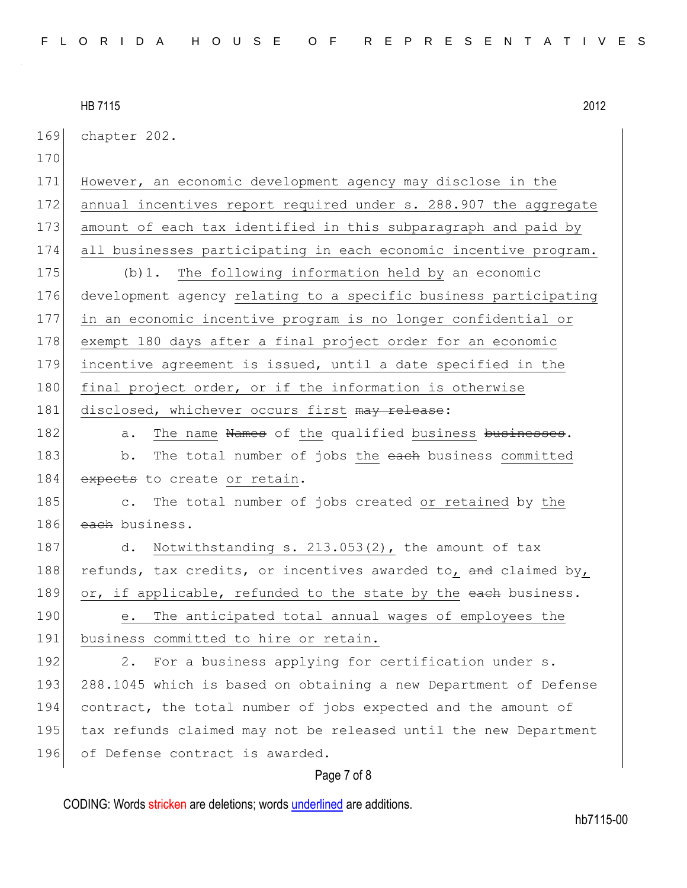| 169 | chapter 202.                                                     |
|-----|------------------------------------------------------------------|
| 170 |                                                                  |
| 171 | However, an economic development agency may disclose in the      |
| 172 | annual incentives report required under s. 288.907 the aggregate |
| 173 | amount of each tax identified in this subparagraph and paid by   |
| 174 | all businesses participating in each economic incentive program. |
| 175 | $(b)$ 1. The following information held by an economic           |
| 176 | development agency relating to a specific business participating |
| 177 | in an economic incentive program is no longer confidential or    |
| 178 | exempt 180 days after a final project order for an economic      |
| 179 | incentive agreement is issued, until a date specified in the     |
| 180 | final project order, or if the information is otherwise          |
| 181 | disclosed, whichever occurs first may release:                   |
| 182 | The name Names of the qualified business businesses.<br>a.       |
| 183 | The total number of jobs the each business committed<br>b.       |
| 184 | expects to create or retain.                                     |
| 185 | The total number of jobs created or retained by the<br>$\circ$ . |
| 186 | each business.                                                   |
| 187 | Notwithstanding s. 213.053(2), the amount of tax<br>d.           |
| 188 | refunds, tax credits, or incentives awarded to, and claimed by,  |
| 189 | or, if applicable, refunded to the state by the each business.   |
| 190 | The anticipated total annual wages of employees the<br>е.        |
| 191 | business committed to hire or retain.                            |
| 192 | For a business applying for certification under s.<br>2.         |
| 193 | 288.1045 which is based on obtaining a new Department of Defense |
| 194 | contract, the total number of jobs expected and the amount of    |
| 195 | tax refunds claimed may not be released until the new Department |
| 196 | of Defense contract is awarded.                                  |
|     |                                                                  |

# Page 7 of 8

CODING: Words stricken are deletions; words underlined are additions.